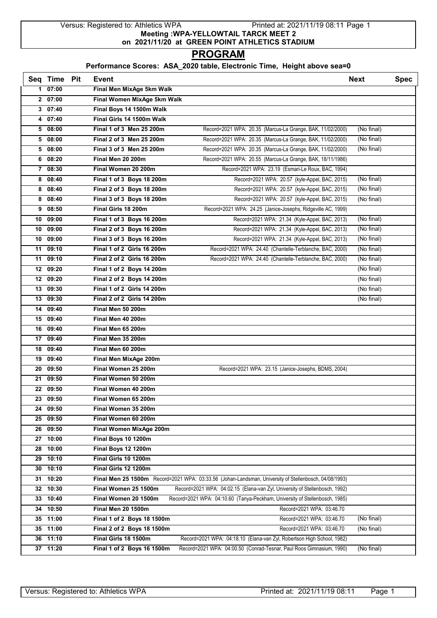Versus: Registered to: Athletics WPA Printed at: 2021/11/19 08:11 Page 1 **Meeting :WPA-YELLOWTAIL TARCK MEET 2 on 2021/11/20 at GREEN POINT ATHLETICS STADIUM**

## **PROGRAM**

## **Performance Scores: ASA\_2020 table, Electronic Time, Height above sea=0**

|    | Seq Time Pit          | Event                       |                                                                                                       | <b>Next</b> | <b>Spec</b> |
|----|-----------------------|-----------------------------|-------------------------------------------------------------------------------------------------------|-------------|-------------|
|    | 107:00                | Final Men MixAge 5km Walk   |                                                                                                       |             |             |
|    | 207:00                | Final Women MixAge 5km Walk |                                                                                                       |             |             |
|    | 307:40                | Final Boys 14 1500m Walk    |                                                                                                       |             |             |
| 4  | 07:40                 | Final Girls 14 1500m Walk   |                                                                                                       |             |             |
|    | 508:00                | Final 1 of 3 Men 25 200m    | Record=2021 WPA: 20.35 (Marcus-La Grange, BAK, 11/02/2000)                                            | (No final)  |             |
|    | 508:00                | Final 2 of 3 Men 25 200m    | Record=2021 WPA: 20.35 (Marcus-La Grange, BAK, 11/02/2000)                                            | (No final)  |             |
|    | 508:00                | Final 3 of 3 Men 25 200m    | Record=2021 WPA: 20.35 (Marcus-La Grange, BAK, 11/02/2000)                                            | (No final)  |             |
| 6  | 08:20                 | Final Men 20 200m           | Record=2021 WPA: 20.55 (Marcus-La Grange, BAK, 18/11/1986)                                            |             |             |
|    | 7 08:30               | Final Women 20 200m         | Record=2021 WPA: 23.19 (Esmari-Le Roux, BAC, 1994)                                                    |             |             |
| 8  | 08:40                 | Final 1 of 3 Boys 18 200m   | Record=2021 WPA: 20.57 (kyle-Appel, BAC, 2015)                                                        | (No final)  |             |
| 8  | 08:40                 | Final 2 of 3 Boys 18 200m   | Record=2021 WPA: 20.57 (kyle-Appel, BAC, 2015)                                                        | (No final)  |             |
|    | 8 08:40               | Final 3 of 3 Boys 18 200m   | Record=2021 WPA: 20.57 (kyle-Appel, BAC, 2015)                                                        | (No final)  |             |
|    | 908:50                | Final Girls 18 200m         | Record=2021 WPA: 24.25 (Janice-Josephs, Ridgeville AC, 1999)                                          |             |             |
|    | 10 09:00              | Final 1 of 3 Boys 16 200m   | Record=2021 WPA: 21.34 (Kyle-Appel, BAC, 2013)                                                        | (No final)  |             |
| 10 | 09:00                 | Final 2 of 3 Boys 16 200m   | Record=2021 WPA: 21.34 (Kyle-Appel, BAC, 2013)                                                        | (No final)  |             |
|    | 10 09:00              | Final 3 of 3 Boys 16 200m   | Record=2021 WPA: 21.34 (Kyle-Appel, BAC, 2013)                                                        | (No final)  |             |
| 11 | 09:10                 | Final 1 of 2 Girls 16 200m  | Record=2021 WPA: 24.40 (Chantelle-Terblanche, BAC, 2000)                                              | (No final)  |             |
|    | 11 09:10              | Final 2 of 2 Girls 16 200m  | Record=2021 WPA: 24.40 (Chantelle-Terblanche, BAC, 2000)                                              | (No final)  |             |
|    | 12 09:20              | Final 1 of 2 Boys 14 200m   |                                                                                                       | (No final)  |             |
|    | 12 09:20              | Final 2 of 2 Boys 14 200m   |                                                                                                       | (No final)  |             |
|    | 13 09:30              | Final 1 of 2 Girls 14 200m  |                                                                                                       | (No final)  |             |
|    | 13 09:30              | Final 2 of 2 Girls 14 200m  |                                                                                                       | (No final)  |             |
| 14 | 09:40                 | Final Men 50 200m           |                                                                                                       |             |             |
|    | 15 09:40              | Final Men 40 200m           |                                                                                                       |             |             |
|    | 16 09:40              | Final Men 65 200m           |                                                                                                       |             |             |
|    | 17 09:40              | Final Men 35 200m           |                                                                                                       |             |             |
|    | 18 09:40              | Final Men 60 200m           |                                                                                                       |             |             |
|    | $19$ $09:40$          | Final Men MixAge 200m       |                                                                                                       |             |             |
|    | 20 09:50              | Final Women 25 200m         | Record=2021 WPA: 23.15 (Janice-Josephs, BDMS, 2004)                                                   |             |             |
| 21 | 09:50                 | Final Women 50 200m         |                                                                                                       |             |             |
|    | 22 09:50              | Final Women 40 200m         |                                                                                                       |             |             |
|    | $23 \overline{09:50}$ | Final Women 65 200m         |                                                                                                       |             |             |
|    | 24 09:50              | Final Women 35 200m         |                                                                                                       |             |             |
| 25 | 09:50                 | Final Women 60 200m         |                                                                                                       |             |             |
| 26 | 09:50                 | Final Women MixAge 200m     |                                                                                                       |             |             |
|    | 27 10:00              | Final Boys 10 1200m         |                                                                                                       |             |             |
| 28 | 10:00                 | Final Boys 12 1200m         |                                                                                                       |             |             |
|    | 29 10:10              | Final Girls 10 1200m        |                                                                                                       |             |             |
|    | $30$ 10:10            | Final Girls 12 1200m        |                                                                                                       |             |             |
|    | 31 10:20              |                             | Final Men 25 1500m Record=2021 WPA: 03:33.56 (Johan-Landsman, University of Stellenbosch, 04/08/1993) |             |             |
| 32 | 10:30                 | Final Women 25 1500m        | Record=2021 WPA: 04:02.15 (Elana-van Zyl, University of Stellenbosch, 1992)                           |             |             |
|    | 33 10:40              | Final Women 20 1500m        | Record=2021 WPA: 04:10.60 (Tanya-Peckham, University of Stellenbosch, 1985)                           |             |             |
| 34 | 10:50                 | Final Men 20 1500m          | Record=2021 WPA: 03:46.70                                                                             |             |             |
|    | 35 11:00              | Final 1 of 2 Boys 18 1500m  | Record=2021 WPA: 03:46.70                                                                             | (No final)  |             |
|    | 35 11:00              | Final 2 of 2 Boys 18 1500m  | Record=2021 WPA: 03:46.70                                                                             | (No final)  |             |
|    | 36 11:10              | Final Girls 18 1500m        | Record=2021 WPA: 04:18.10 (Elana-van Zyl, Robertson High School, 1982)                                |             |             |
|    | 37 11:20              | Final 1 of 2 Boys 16 1500m  | Record=2021 WPA: 04:00.50 (Conrad-Tesnar, Paul Roos Gimnasium, 1990)                                  | (No final)  |             |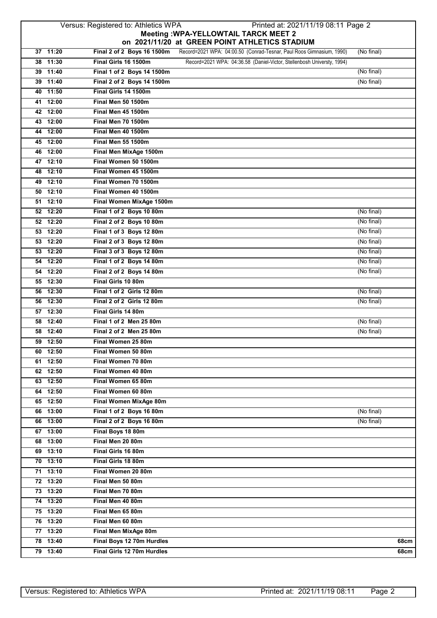## Versus: Registered to: Athletics WPA Printed at: 2021/11/19 08:11 Page 2 **Meeting :WPA-YELLOWTAIL TARCK MEET 2 on 2021/11/20 at GREEN POINT ATHLETICS STADIUM**

|                      |                                                 | 011 2021/11/20 GL ORLEN I OINT ATTILLITOU OTADIUM                      |            |
|----------------------|-------------------------------------------------|------------------------------------------------------------------------|------------|
| $37$ 11:20           | Final 2 of 2 Boys 16 1500m                      | Record=2021 WPA: 04:00.50 (Conrad-Tesnar, Paul Roos Gimnasium, 1990)   | (No final) |
| 38 11:30             | Final Girls 16 1500m                            | Record=2021 WPA: 04:36.58 (Daniel-Victor, Stellenbosh Universty, 1994) |            |
| 39 11:40             | Final 1 of 2 Boys 14 1500m                      |                                                                        | (No final) |
| 39 11:40             | Final 2 of 2 Boys 14 1500m                      |                                                                        | (No final) |
| 40 11:50             | Final Girls 14 1500m                            |                                                                        |            |
| 41 12:00             | <b>Final Men 50 1500m</b>                       |                                                                        |            |
| 42 12:00             | <b>Final Men 45 1500m</b>                       |                                                                        |            |
| 43 12:00             | Final Men 70 1500m                              |                                                                        |            |
| 44 12:00             | Final Men 40 1500m                              |                                                                        |            |
| 45 12:00             | <b>Final Men 55 1500m</b>                       |                                                                        |            |
| 46 12:00             | Final Men MixAge 1500m                          |                                                                        |            |
| 47 12:10             | Final Women 50 1500m                            |                                                                        |            |
| 48 12:10             | Final Women 45 1500m                            |                                                                        |            |
| 49 12:10             | Final Women 70 1500m                            |                                                                        |            |
| 50 12:10             | Final Women 40 1500m                            |                                                                        |            |
| $51$ 12:10           | Final Women MixAge 1500m                        |                                                                        |            |
| 52 12:20             | Final 1 of 2 Boys 10 80m                        |                                                                        | (No final) |
| 52 12:20             | Final 2 of 2 Boys 10 80m                        |                                                                        | (No final) |
| 53 12:20             | Final 1 of 3 Boys 12 80m                        |                                                                        | (No final) |
| 53 12:20             | Final 2 of 3 Boys 12 80m                        |                                                                        | (No final) |
| 53 12:20             | Final 3 of 3 Boys 12 80m                        |                                                                        | (No final) |
| 54 12:20             | Final 1 of 2 Boys 14 80m                        |                                                                        | (No final) |
| 54 12:20             | Final 2 of 2 Boys 14 80m                        |                                                                        | (No final) |
| 55 12:30             | Final Girls 10 80m                              |                                                                        |            |
| 56 12:30             | Final 1 of 2 Girls 12 80m                       |                                                                        | (No final) |
| 56 12:30             | Final 2 of 2 Girls 12 80m<br>Final Girls 14 80m |                                                                        | (No final) |
| 57 12:30<br>58 12:40 | Final 1 of 2 Men 25 80m                         |                                                                        | (No final) |
| 58 12:40             | Final 2 of 2 Men 25 80m                         |                                                                        | (No final) |
| 59 12:50             | Final Women 25 80m                              |                                                                        |            |
| 60 12:50             | Final Women 50 80m                              |                                                                        |            |
| 61 12:50             | Final Women 70 80m                              |                                                                        |            |
| 62 12:50             | Final Women 40 80m                              |                                                                        |            |
| 63 12:50             | Final Women 65 80m                              |                                                                        |            |
| 64 12:50             | Final Women 60 80m                              |                                                                        |            |
| 65 12:50             | Final Women MixAge 80m                          |                                                                        |            |
| 66 13:00             | Final 1 of 2 Boys 16 80m                        |                                                                        | (No final) |
| 66 13:00             | Final 2 of 2 Boys 16 80m                        |                                                                        | (No final) |
| 67 13:00             | Final Boys 18 80m                               |                                                                        |            |
| 68 13:00             | Final Men 20 80m                                |                                                                        |            |
| 69 13:10             | Final Girls 16 80m                              |                                                                        |            |
| $70$ 13:10           | Final Girls 18 80m                              |                                                                        |            |
| $71$ 13:10           | Final Women 20 80m                              |                                                                        |            |
| 72 13:20             | Final Men 50 80m                                |                                                                        |            |
| 73 13:20             | Final Men 70 80m                                |                                                                        |            |
| 74 13:20             | Final Men 40 80m                                |                                                                        |            |
| 75 13:20             | Final Men 65 80m                                |                                                                        |            |
| 76 13:20             | Final Men 60 80m                                |                                                                        |            |
| 77 13:20             | Final Men MixAge 80m                            |                                                                        |            |
| 78 13:40             | Final Boys 12 70m Hurdles                       |                                                                        | 68cm       |
| 79 13:40             | Final Girls 12 70m Hurdles                      |                                                                        | 68cm       |
|                      |                                                 |                                                                        |            |